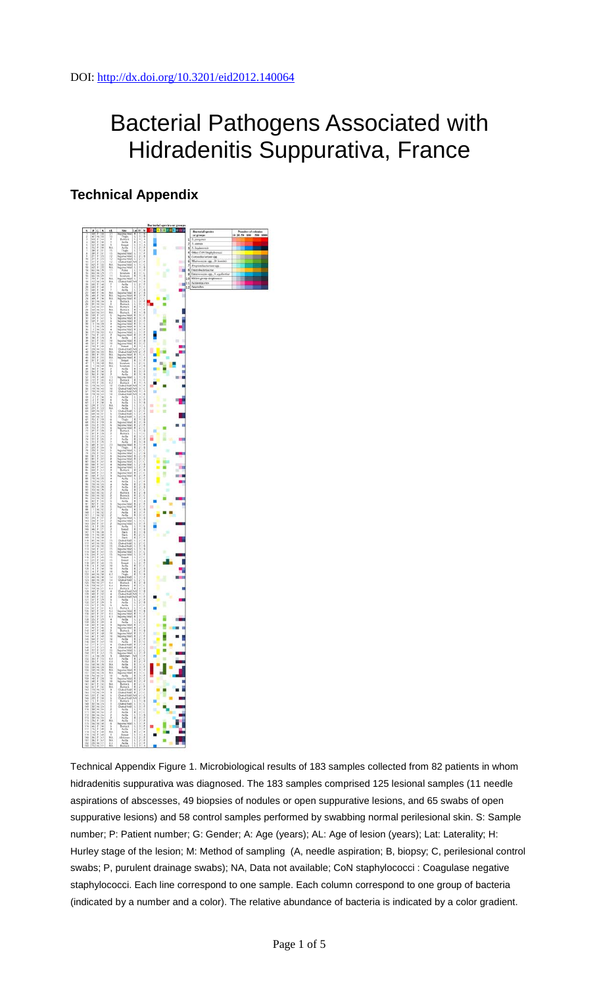## Bacterial Pathogens Associated with Hidradenitis Suppurativa, France

## **Technical Appendix**



Technical Appendix Figure 1. Microbiological results of 183 samples collected from 82 patients in whom hidradenitis suppurativa was diagnosed. The 183 samples comprised 125 lesional samples (11 needle aspirations of abscesses, 49 biopsies of nodules or open suppurative lesions, and 65 swabs of open suppurative lesions) and 58 control samples performed by swabbing normal perilesional skin. S: Sample number; P: Patient number; G: Gender; A: Age (years); AL: Age of lesion (years); Lat: Laterality; H: Hurley stage of the lesion; M: Method of sampling (A, needle aspiration; B, biopsy; C, perilesional control swabs; P, purulent drainage swabs); NA, Data not available; CoN staphylococci : Coagulase negative staphylococci. Each line correspond to one sample. Each column correspond to one group of bacteria (indicated by a number and a color). The relative abundance of bacteria is indicated by a color gradient.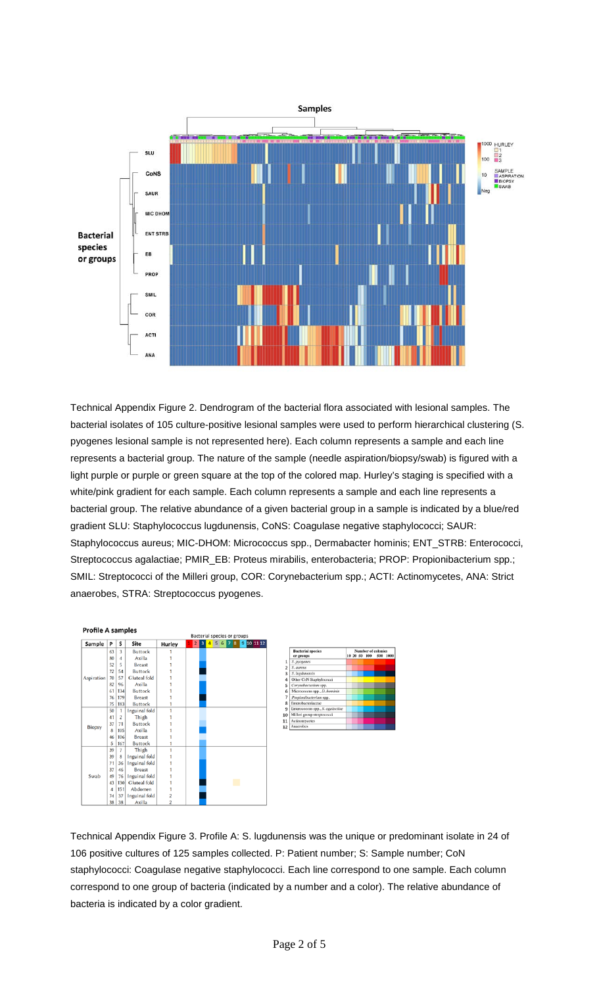

Technical Appendix Figure 2. Dendrogram of the bacterial flora associated with lesional samples. The bacterial isolates of 105 culture-positive lesional samples were used to perform hierarchical clustering (S. pyogenes lesional sample is not represented here). Each column represents a sample and each line represents a bacterial group. The nature of the sample (needle aspiration/biopsy/swab) is figured with a light purple or purple or green square at the top of the colored map. Hurley's staging is specified with a white/pink gradient for each sample. Each column represents a sample and each line represents a bacterial group. The relative abundance of a given bacterial group in a sample is indicated by a blue/red gradient SLU: Staphylococcus lugdunensis, CoNS: Coagulase negative staphylococci; SAUR: Staphylococcus aureus; MIC-DHOM: Micrococcus spp., Dermabacter hominis; ENT\_STRB: Enterococci, Streptococcus agalactiae; PMIR\_EB: Proteus mirabilis, enterobacteria; PROP: Propionibacterium spp.; SMIL: Streptococci of the Milleri group, COR: Corynebacterium spp.; ACTI: Actinomycetes, ANA: Strict anaerobes, STRA: Streptococcus pyogenes.



Technical Appendix Figure 3. Profile A: S. lugdunensis was the unique or predominant isolate in 24 of 106 positive cultures of 125 samples collected. P: Patient number; S: Sample number; CoN staphylococci: Coagulase negative staphylococci. Each line correspond to one sample. Each column correspond to one group of bacteria (indicated by a number and a color). The relative abundance of bacteria is indicated by a color gradient.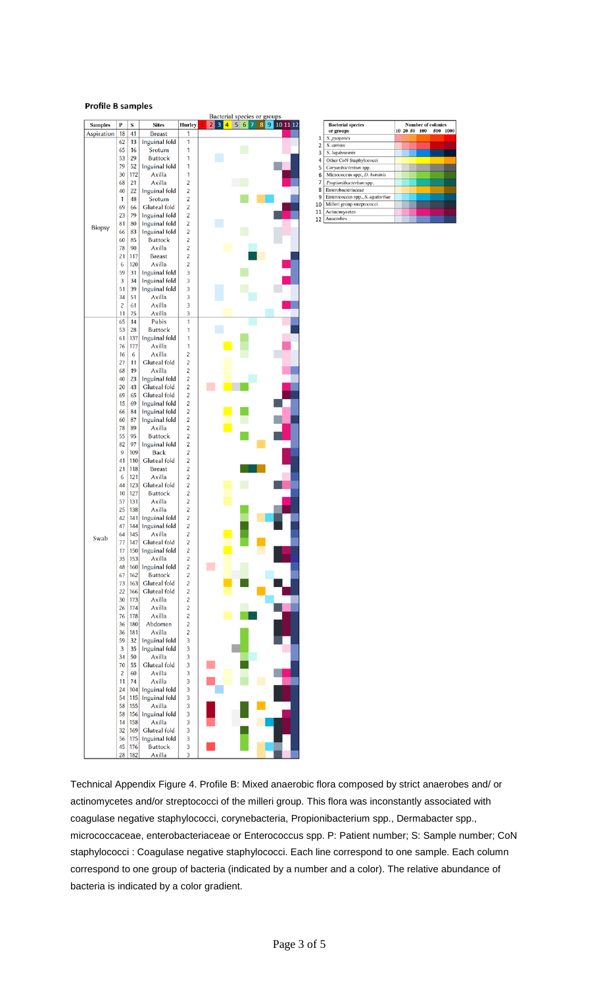## **Profile B samples**

|                |                |         |                               |                         | Bacterial species or groups    |
|----------------|----------------|---------|-------------------------------|-------------------------|--------------------------------|
| <b>Samples</b> | P<br>18        | S<br>41 | <b>Sites</b><br><b>Breast</b> | Hurley<br>1             | 234<br>5 6 7 8 9 10 11 12<br>1 |
| Aspiration     | 62             | 13      |                               | 1                       |                                |
|                | 65             | 16      | Inguinal fold<br>Srotum       | 1                       |                                |
|                | 53             | 29      | <b>Buttock</b>                | 1                       |                                |
|                | 79             | 52      | Inguinal fold                 | 1                       |                                |
|                | 30             | 172     | Axilla                        | 1                       |                                |
|                | 68             | 21      | Axilla                        | 2                       |                                |
|                | 40             | 22      | Inguinal fold                 | 2                       |                                |
|                | 1              | 48      | Srotum                        | 2                       |                                |
|                | 69             | 66      | <b>Gluteal</b> fold           | $\overline{c}$          |                                |
|                | 23             | 79      | Inguinal fold                 | $\overline{c}$          |                                |
|                | 81             | 80      | Inguinal fold                 | $\overline{c}$          |                                |
| <b>Biopsy</b>  | 66             | 83      | Inguinal fold                 | 2                       |                                |
|                | 60             | 85      | <b>Buttock</b>                | 2                       |                                |
|                | 78             | 90      | Axilla                        | 2                       |                                |
|                | 21             | 117     | <b>Breast</b>                 | $\overline{c}$          |                                |
|                | 6              | 120     | Axilla                        | 2                       |                                |
|                | 59             | 31      | Inguinal fold                 | 3                       |                                |
|                | 3              | 34      | Inguinal fold                 | 3                       |                                |
|                | 51             | 39      | Inguinal fold                 | 3                       |                                |
|                | 34             | 51      | Axilla                        | 3                       |                                |
|                | 2              | 61      | Axilla                        | 3                       |                                |
|                | 11             | 75      | Axilla                        | 3                       |                                |
|                | 65             | 14      | Pubis                         | 1                       |                                |
|                | 53             | 28      | <b>Buttock</b>                | 1                       |                                |
|                | 61             | 137     | Inguinal fold                 | 1                       |                                |
|                | 76             | 177     | Axilla                        | 1                       |                                |
|                | 16             | 6       | Axilla                        | $\overline{c}$          |                                |
|                | 27             | 11      | <b>Gluteal</b> fold           | $\overline{c}$          |                                |
|                | 68             | 19      | Axilla                        | $\overline{c}$          |                                |
|                | 40             | 23      | Inguinal fold                 | 2                       |                                |
|                | 20             | 43      | <b>Gluteal</b> fold           | 2                       |                                |
|                | 69             | 65      | <b>Gluteal</b> fold           | 2                       |                                |
|                | 15             | 69      | Inguinal fold                 | $\overline{\mathbf{c}}$ |                                |
|                | 66             | 84      | Inguinal fold                 | $\overline{c}$          |                                |
|                | 60             | 87      | Inguinal fold                 | 2                       |                                |
|                | 78             | 89      | Axilla                        | $\overline{c}$          |                                |
|                | 55             | 95      | <b>Buttock</b>                | $\overline{c}$          |                                |
|                | 82             | 97      | Inguinal fold                 | $\overline{c}$          |                                |
|                | 9              | 109     | <b>Back</b>                   | 2                       |                                |
|                | 41             | 110     | <b>Gluteal</b> fold           | 2                       |                                |
|                | 21             | 118     | <b>Breast</b>                 | $\overline{c}$          |                                |
|                | 6              | 121     | Axilla                        | $\overline{c}$          |                                |
|                | 44             | 123     | <b>Gluteal</b> fold           | $\overline{c}$          |                                |
|                | 10             | 127     | <b>Buttock</b>                | $\overline{c}$          |                                |
|                | 57             | 131     | Axilla                        | 2                       |                                |
|                | 25             | 138     | Axilla                        | 2                       |                                |
|                | 42             | 141     | Inguinal fold                 | 2                       |                                |
|                | 47             | 144     | Inguinal fold                 | 2                       |                                |
|                | 64             | 145     | Axilla                        | $\overline{c}$          |                                |
| Swab           | 77             | 147     | <b>Gluteal</b> fold           | $\overline{c}$          |                                |
|                | 17             | 150     | Inguinal fold                 | $\overline{c}$          |                                |
|                | 35             | 153     | Axilla                        | 2                       |                                |
|                | 48             | 160     | Inguinal fold                 | 2                       |                                |
|                | 67             | 162     | <b>Buttock</b>                | 2                       |                                |
|                | 73             | 163     | <b>Gluteal</b> fold           | 2                       |                                |
|                | 22             | 166     | <b>Gluteal</b> fold           | $\overline{c}$          |                                |
|                | 30             | 173     | Axilla                        | $\overline{c}$          |                                |
|                | 26             | 174     | Axilla                        | $\overline{\mathbf{c}}$ |                                |
|                | 76             | 178     | Axilla                        | $\overline{c}$          |                                |
|                | 36             | 180     | Abdomen                       | $\overline{c}$          |                                |
|                | 36             | 181     | Axilla                        | 2                       |                                |
|                | 59             | 32      | Inguinal fold                 | 3                       |                                |
|                | 3              | 35      | Inguinal fold                 | 3                       |                                |
|                | 34             | 50      | Axilla                        | 3                       |                                |
|                | 70             | 55      | <b>Gluteal</b> fold           | 3                       |                                |
|                | $\overline{c}$ | 60      | Axilla                        | 3                       |                                |
|                | 11             | 74      | Axilla                        | 3                       |                                |
|                | 24             | 104     | Inguinal fold                 | 3                       |                                |
|                | 54             | 115     | Inguinal fold                 | 3                       |                                |
|                | 58             | 155     | Axilla                        | 3                       |                                |
|                | 58             | 156     | Inguinal fold                 | 3                       |                                |
|                | 14             | 158     | Axilla                        | 3                       |                                |
|                | 32             | 169     | Gluteal fold                  | 3                       |                                |
|                | 56             | 175     | Inguinal fold                 | 3                       |                                |
|                | 45             | 176     | <b>Buttock</b>                | 3                       |                                |
|                | 28             | 182     | Axilla                        | 3                       |                                |

|                | <b>Bacterial species</b>         | <b>Number of colonies</b> |  |  |              |     |      |  |  |  |  |
|----------------|----------------------------------|---------------------------|--|--|--------------|-----|------|--|--|--|--|
|                | or groups                        |                           |  |  | 10 20 50 100 | 500 | 1000 |  |  |  |  |
| 1              | S. pyogenes                      |                           |  |  |              |     |      |  |  |  |  |
| $\overline{2}$ | S. aureus                        |                           |  |  |              |     |      |  |  |  |  |
| 3              | S. lugdunensis                   |                           |  |  |              |     |      |  |  |  |  |
| 4              | Other CoN Staphylococci          |                           |  |  |              |     |      |  |  |  |  |
| 5              | Corynebacterium spp.             |                           |  |  |              |     |      |  |  |  |  |
| 6              | Micrococcus spp., D. hominis     |                           |  |  |              |     |      |  |  |  |  |
| 7              | Propionibacterium spp.           |                           |  |  |              |     |      |  |  |  |  |
| 8              | Enterobacteriaceae               |                           |  |  |              |     |      |  |  |  |  |
| 9              | Enterococcus spp., S. agalactiae |                           |  |  |              |     |      |  |  |  |  |
| LO             | Milleri group streptococci       |                           |  |  |              |     |      |  |  |  |  |
| $\overline{1}$ | Actinomycetes                    |                           |  |  |              |     |      |  |  |  |  |
| 12             | Anaerobes                        |                           |  |  |              |     |      |  |  |  |  |

Technical Appendix Figure 4. Profile B: Mixed anaerobic flora composed by strict anaerobes and/ or actinomycetes and/or streptococci of the milleri group. This flora was inconstantly associated with coagulase negative staphylococci, corynebacteria, Propionibacterium spp., Dermabacter spp., micrococcaceae, enterobacteriaceae or Enterococcus spp. P: Patient number; S: Sample number; CoN staphylococci : Coagulase negative staphylococci. Each line correspond to one sample. Each column correspond to one group of bacteria (indicated by a number and a color). The relative abundance of bacteria is indicated by a color gradient.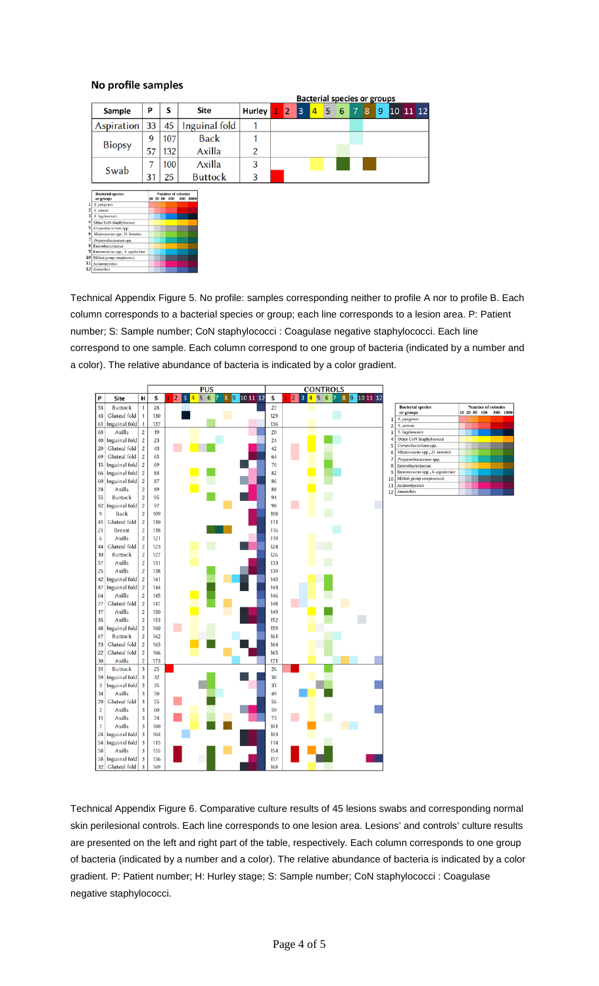## No profile samples

|   |                                       |                                    |     |                | <b>Bacterial species or groups</b> |                |   |                |   |   |   |                |   |   |          |  |  |
|---|---------------------------------------|------------------------------------|-----|----------------|------------------------------------|----------------|---|----------------|---|---|---|----------------|---|---|----------|--|--|
|   | Sample                                | Ρ                                  | S   | Site           | Hurley                             | $\mathbf{1}^-$ | 2 | $\overline{3}$ | 4 | 5 | 6 | $\overline{7}$ | 8 | 9 | 10 11 12 |  |  |
|   | Aspiration                            | 33                                 | 45  | Inguinal fold  |                                    |                |   |                |   |   |   |                |   |   |          |  |  |
|   |                                       | 9                                  | 107 | <b>Back</b>    |                                    |                |   |                |   |   |   |                |   |   |          |  |  |
|   | <b>Biopsy</b>                         | 57                                 | 132 | Axilla         | 2                                  |                |   |                |   |   |   |                |   |   |          |  |  |
|   | Swab                                  | 7                                  | 100 | Axilla         | 3                                  |                |   |                |   |   |   |                |   |   |          |  |  |
|   |                                       | 31                                 | 25  | <b>Buttock</b> | 3                                  |                |   |                |   |   |   |                |   |   |          |  |  |
|   | <b>Bacterial species</b><br>or groups | Number of colonies<br>10 20 50 100 |     | 500 1000       |                                    |                |   |                |   |   |   |                |   |   |          |  |  |
|   | S. pyogenes                           |                                    |     |                |                                    |                |   |                |   |   |   |                |   |   |          |  |  |
|   | S. aurents                            |                                    |     |                |                                    |                |   |                |   |   |   |                |   |   |          |  |  |
|   | S. Ingdanensis                        |                                    |     |                |                                    |                |   |                |   |   |   |                |   |   |          |  |  |
|   | Other CoN Staphylococci               |                                    |     |                |                                    |                |   |                |   |   |   |                |   |   |          |  |  |
|   | Corynebacterium spp.                  |                                    |     |                |                                    |                |   |                |   |   |   |                |   |   |          |  |  |
|   | Micrococcus spp., D. hominis          |                                    |     |                |                                    |                |   |                |   |   |   |                |   |   |          |  |  |
|   | Propionibacterium spp.                |                                    |     |                |                                    |                |   |                |   |   |   |                |   |   |          |  |  |
| 8 | Enterobacteriaceae                    |                                    |     |                |                                    |                |   |                |   |   |   |                |   |   |          |  |  |
|   | Enterococcus spp., S. agalactiae      |                                    |     |                |                                    |                |   |                |   |   |   |                |   |   |          |  |  |
|   | 10 Milleri group streptococci         |                                    |     |                |                                    |                |   |                |   |   |   |                |   |   |          |  |  |
|   | 11 Actinomycetes                      |                                    |     |                |                                    |                |   |                |   |   |   |                |   |   |          |  |  |
|   | 12 Anaerobes                          |                                    |     |                |                                    |                |   |                |   |   |   |                |   |   |          |  |  |

Technical Appendix Figure 5. No profile: samples corresponding neither to profile A nor to profile B. Each column corresponds to a bacterial species or group; each line corresponds to a lesion area. P: Patient number; S: Sample number; CoN staphylococci : Coagulase negative staphylococci. Each line correspond to one sample. Each column correspond to one group of bacteria (indicated by a number and a color). The relative abundance of bacteria is indicated by a color gradient.



Technical Appendix Figure 6. Comparative culture results of 45 lesions swabs and corresponding normal skin perilesional controls. Each line corresponds to one lesion area. Lesions' and controls' culture results are presented on the left and right part of the table, respectively. Each column corresponds to one group of bacteria (indicated by a number and a color). The relative abundance of bacteria is indicated by a color gradient. P: Patient number; H: Hurley stage; S: Sample number; CoN staphylococci : Coagulase negative staphylococci.